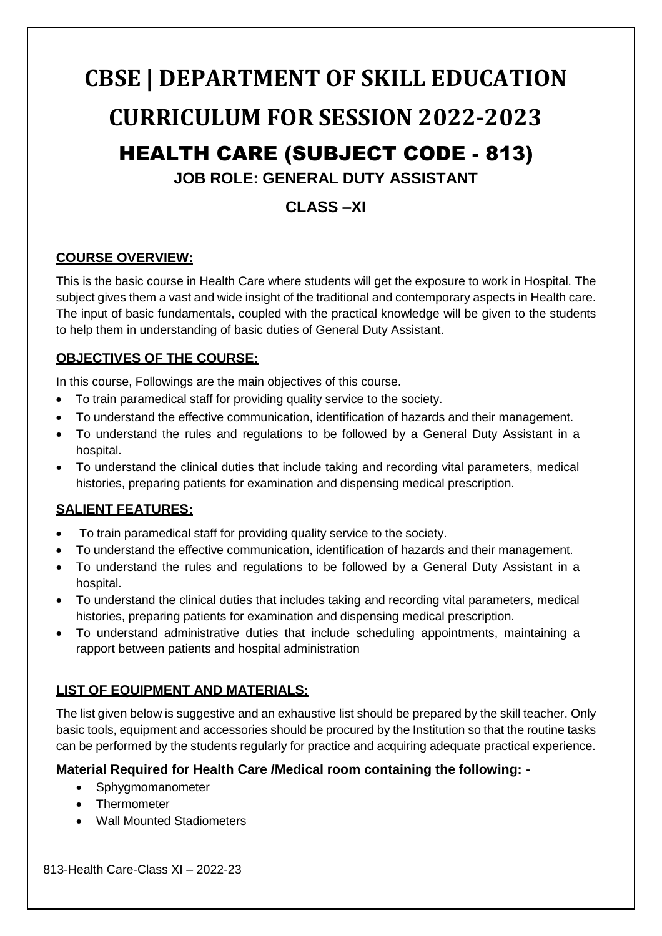# **CBSE | DEPARTMENT OF SKILL EDUCATION**

# **CURRICULUM FOR SESSION 2022-2023**

# HEALTH CARE (SUBJECT CODE - 813)

## **JOB ROLE: GENERAL DUTY ASSISTANT**

# **CLASS –XI**

## **COURSE OVERVIEW:**

This is the basic course in Health Care where students will get the exposure to work in Hospital. The subject gives them a vast and wide insight of the traditional and contemporary aspects in Health care. The input of basic fundamentals, coupled with the practical knowledge will be given to the students to help them in understanding of basic duties of General Duty Assistant.

### **OBJECTIVES OF THE COURSE:**

In this course, Followings are the main objectives of this course.

- To train paramedical staff for providing quality service to the society.
- To understand the effective communication, identification of hazards and their management.
- To understand the rules and regulations to be followed by a General Duty Assistant in a hospital.
- To understand the clinical duties that include taking and recording vital parameters, medical histories, preparing patients for examination and dispensing medical prescription.

### **SALIENT FEATURES:**

- To train paramedical staff for providing quality service to the society.
- To understand the effective communication, identification of hazards and their management.
- To understand the rules and regulations to be followed by a General Duty Assistant in a hospital.
- To understand the clinical duties that includes taking and recording vital parameters, medical histories, preparing patients for examination and dispensing medical prescription.
- To understand administrative duties that include scheduling appointments, maintaining a rapport between patients and hospital administration

### **LIST OF EQUIPMENT AND MATERIALS:**

The list given below is suggestive and an exhaustive list should be prepared by the skill teacher. Only basic tools, equipment and accessories should be procured by the Institution so that the routine tasks can be performed by the students regularly for practice and acquiring adequate practical experience.

### **Material Required for Health Care /Medical room containing the following: -**

- Sphygmomanometer
- Thermometer
- Wall Mounted Stadiometers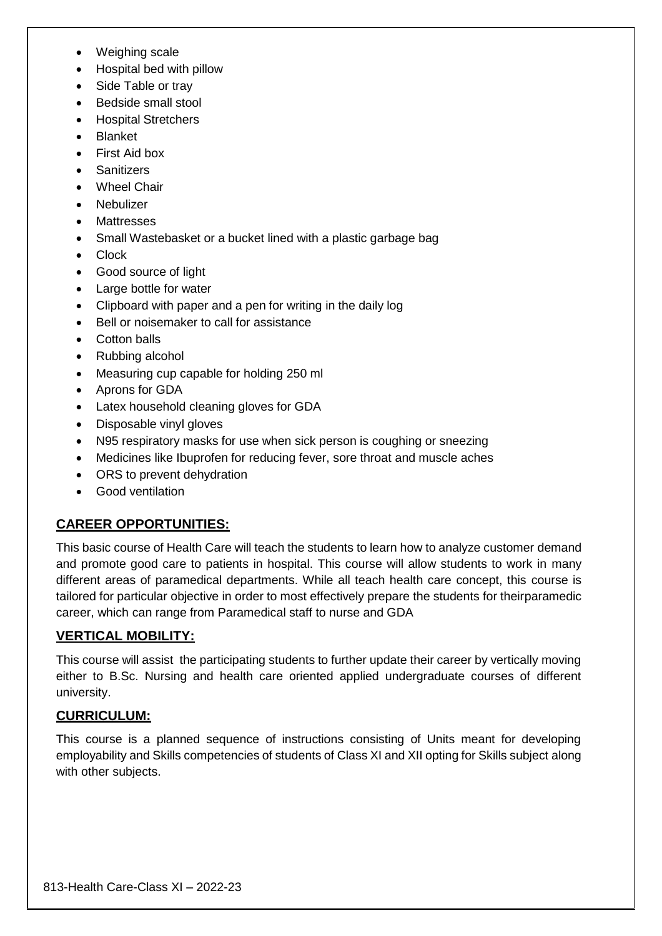- Weighing scale
- Hospital bed with pillow
- Side Table or tray
- Bedside small stool
- Hospital Stretchers
- Blanket
- First Aid box
- **Sanitizers**
- Wheel Chair
- Nebulizer
- Mattresses
- Small Wastebasket or a bucket lined with a plastic garbage bag
- **Clock**
- Good source of light
- Large bottle for water
- Clipboard with paper and a pen for writing in the daily log
- Bell or noisemaker to call for assistance
- Cotton balls
- Rubbing alcohol
- Measuring cup capable for holding 250 ml
- Aprons for GDA
- Latex household cleaning gloves for GDA
- Disposable vinyl gloves
- N95 respiratory masks for use when sick person is coughing or sneezing
- Medicines like Ibuprofen for reducing fever, sore throat and muscle aches
- ORS to prevent dehydration
- Good ventilation

### **CAREER OPPORTUNITIES:**

This basic course of Health Care will teach the students to learn how to analyze customer demand and promote good care to patients in hospital. This course will allow students to work in many different areas of paramedical departments. While all teach health care concept, this course is tailored for particular objective in order to most effectively prepare the students for theirparamedic career, which can range from Paramedical staff to nurse and GDA

### **VERTICAL MOBILITY:**

This course will assist the participating students to further update their career by vertically moving either to B.Sc. Nursing and health care oriented applied undergraduate courses of different university.

### **CURRICULUM:**

This course is a planned sequence of instructions consisting of Units meant for developing employability and Skills competencies of students of Class XI and XII opting for Skills subject along with other subjects.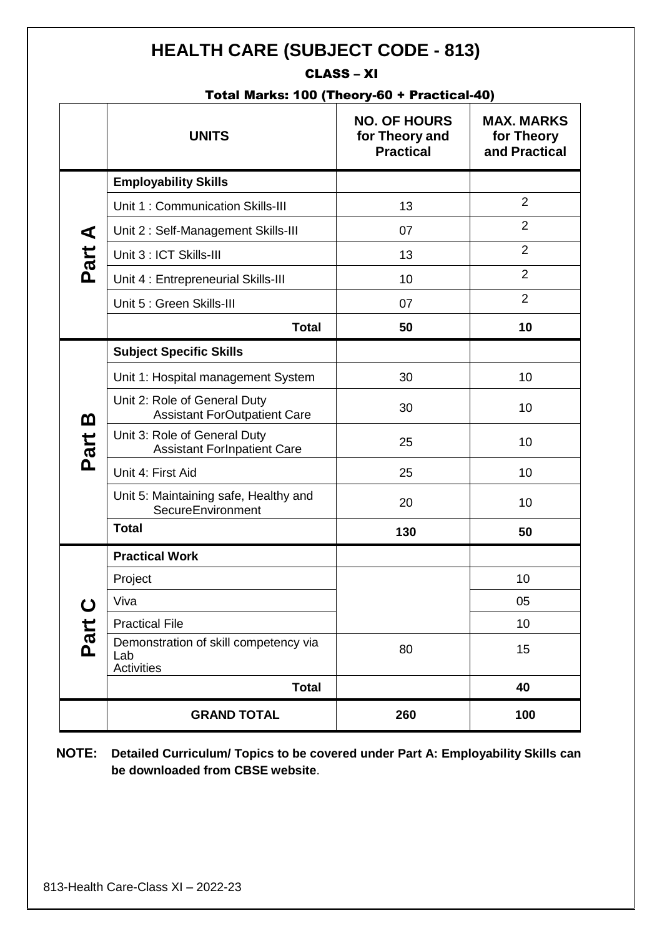# **HEALTH CARE (SUBJECT CODE - 813)**

### CLASS – XI

### Total Marks: 100 (Theory-60 + Practical-40)

|                  | <b>UNITS</b>                                                        | <b>NO. OF HOURS</b><br>for Theory and<br><b>Practical</b> | <b>MAX. MARKS</b><br>for Theory<br>and Practical |
|------------------|---------------------------------------------------------------------|-----------------------------------------------------------|--------------------------------------------------|
| Part A           | <b>Employability Skills</b>                                         |                                                           |                                                  |
|                  | Unit 1: Communication Skills-III                                    | 13                                                        | $\overline{2}$                                   |
|                  | Unit 2: Self-Management Skills-III                                  | 07                                                        | $\overline{2}$                                   |
|                  | Unit 3 : ICT Skills-III                                             | 13                                                        | $\overline{2}$                                   |
|                  | Unit 4 : Entrepreneurial Skills-III                                 | 10                                                        | $\overline{2}$                                   |
|                  | Unit 5 : Green Skills-III                                           | 07                                                        | $\overline{2}$                                   |
|                  | <b>Total</b>                                                        | 50                                                        | 10                                               |
| <u>ጠ</u><br>Part | <b>Subject Specific Skills</b>                                      |                                                           |                                                  |
|                  | Unit 1: Hospital management System                                  | 30                                                        | 10                                               |
|                  | Unit 2: Role of General Duty<br><b>Assistant ForOutpatient Care</b> | 30                                                        | 10                                               |
|                  | Unit 3: Role of General Duty<br><b>Assistant ForInpatient Care</b>  | 25                                                        | 10                                               |
|                  | Unit 4: First Aid                                                   | 25                                                        | 10                                               |
|                  | Unit 5: Maintaining safe, Healthy and<br>SecureEnvironment          | 20                                                        | 10                                               |
|                  | <b>Total</b>                                                        | 130                                                       | 50                                               |
| <u>ပ</u><br>Part | <b>Practical Work</b>                                               |                                                           |                                                  |
|                  | Project                                                             |                                                           | 10                                               |
|                  | Viva                                                                |                                                           | 05                                               |
|                  | <b>Practical File</b>                                               |                                                           | 10                                               |
|                  | Demonstration of skill competency via<br>Lab<br><b>Activities</b>   | 80                                                        | 15                                               |
|                  | <b>Total</b>                                                        |                                                           | 40                                               |
|                  | <b>GRAND TOTAL</b>                                                  | 260                                                       | 100                                              |

**NOTE: Detailed Curriculum/ Topics to be covered under Part A: Employability Skills can be downloaded from CBSE website**.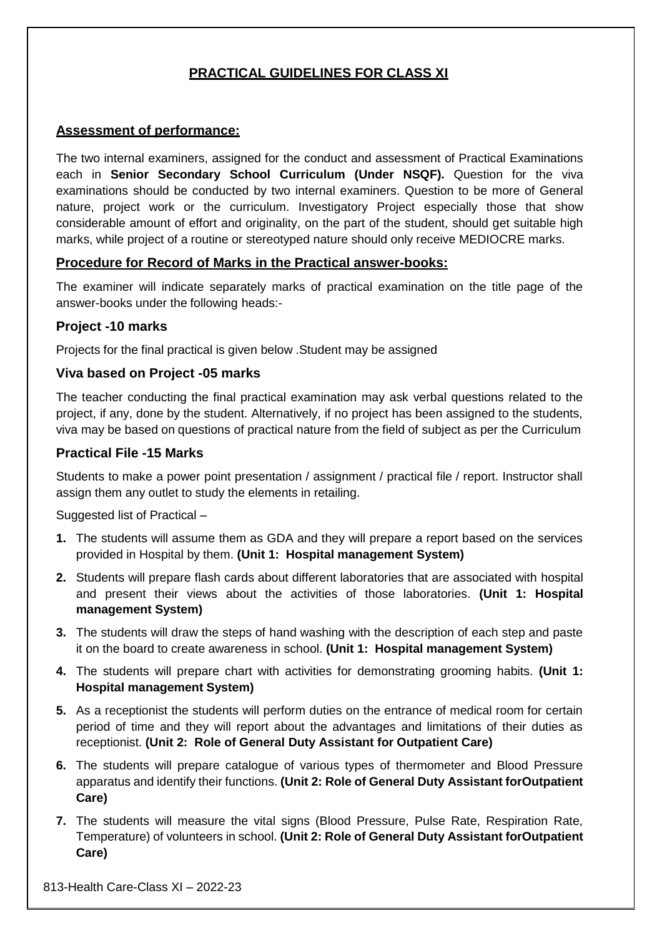## **PRACTICAL GUIDELINES FOR CLASS XI**

### **Assessment of performance:**

The two internal examiners, assigned for the conduct and assessment of Practical Examinations each in **Senior Secondary School Curriculum (Under NSQF).** Question for the viva examinations should be conducted by two internal examiners. Question to be more of General nature, project work or the curriculum. Investigatory Project especially those that show considerable amount of effort and originality, on the part of the student, should get suitable high marks, while project of a routine or stereotyped nature should only receive MEDIOCRE marks.

### **Procedure for Record of Marks in the Practical answer-books:**

The examiner will indicate separately marks of practical examination on the title page of the answer-books under the following heads:-

### **Project -10 marks**

Projects for the final practical is given below .Student may be assigned

### **Viva based on Project -05 marks**

The teacher conducting the final practical examination may ask verbal questions related to the project, if any, done by the student. Alternatively, if no project has been assigned to the students, viva may be based on questions of practical nature from the field of subject as per the Curriculum

### **Practical File -15 Marks**

Students to make a power point presentation / assignment / practical file / report. Instructor shall assign them any outlet to study the elements in retailing.

Suggested list of Practical –

- **1.** The students will assume them as GDA and they will prepare a report based on the services provided in Hospital by them. **(Unit 1: Hospital management System)**
- **2.** Students will prepare flash cards about different laboratories that are associated with hospital and present their views about the activities of those laboratories. **(Unit 1: Hospital management System)**
- **3.** The students will draw the steps of hand washing with the description of each step and paste it on the board to create awareness in school. **(Unit 1: Hospital management System)**
- **4.** The students will prepare chart with activities for demonstrating grooming habits. **(Unit 1: Hospital management System)**
- **5.** As a receptionist the students will perform duties on the entrance of medical room for certain period of time and they will report about the advantages and limitations of their duties as receptionist. **(Unit 2: Role of General Duty Assistant for Outpatient Care)**
- **6.** The students will prepare catalogue of various types of thermometer and Blood Pressure apparatus and identify their functions. **(Unit 2: Role of General Duty Assistant forOutpatient Care)**
- **7.** The students will measure the vital signs (Blood Pressure, Pulse Rate, Respiration Rate, Temperature) of volunteers in school. **(Unit 2: Role of General Duty Assistant forOutpatient Care)**

813-Health Care-Class XI – 2022-23